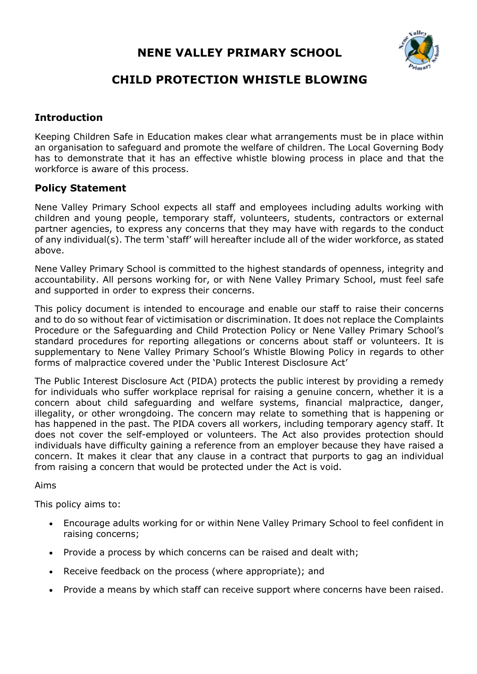# **NENE VALLEY PRIMARY SCHOOL**



# **CHILD PROTECTION WHISTLE BLOWING**

## **Introduction**

Keeping Children Safe in Education makes clear what arrangements must be in place within an organisation to safeguard and promote the welfare of children. The Local Governing Body has to demonstrate that it has an effective whistle blowing process in place and that the workforce is aware of this process.

## **Policy Statement**

Nene Valley Primary School expects all staff and employees including adults working with children and young people, temporary staff, volunteers, students, contractors or external partner agencies, to express any concerns that they may have with regards to the conduct of any individual(s). The term 'staff' will hereafter include all of the wider workforce, as stated above.

Nene Valley Primary School is committed to the highest standards of openness, integrity and accountability. All persons working for, or with Nene Valley Primary School, must feel safe and supported in order to express their concerns.

This policy document is intended to encourage and enable our staff to raise their concerns and to do so without fear of victimisation or discrimination. It does not replace the Complaints Procedure or the Safeguarding and Child Protection Policy or Nene Valley Primary School's standard procedures for reporting allegations or concerns about staff or volunteers. It is supplementary to Nene Valley Primary School's Whistle Blowing Policy in regards to other forms of malpractice covered under the 'Public Interest Disclosure Act'

The Public Interest Disclosure Act (PIDA) protects the public interest by providing a remedy for individuals who suffer workplace reprisal for raising a genuine concern, whether it is a concern about child safeguarding and welfare systems, financial malpractice, danger, illegality, or other wrongdoing. The concern may relate to something that is happening or has happened in the past. The PIDA covers all workers, including temporary agency staff. It does not cover the self-employed or volunteers. The Act also provides protection should individuals have difficulty gaining a reference from an employer because they have raised a concern. It makes it clear that any clause in a contract that purports to gag an individual from raising a concern that would be protected under the Act is void.

#### Aims

This policy aims to:

- Encourage adults working for or within Nene Valley Primary School to feel confident in raising concerns;
- Provide a process by which concerns can be raised and dealt with;
- Receive feedback on the process (where appropriate); and
- Provide a means by which staff can receive support where concerns have been raised.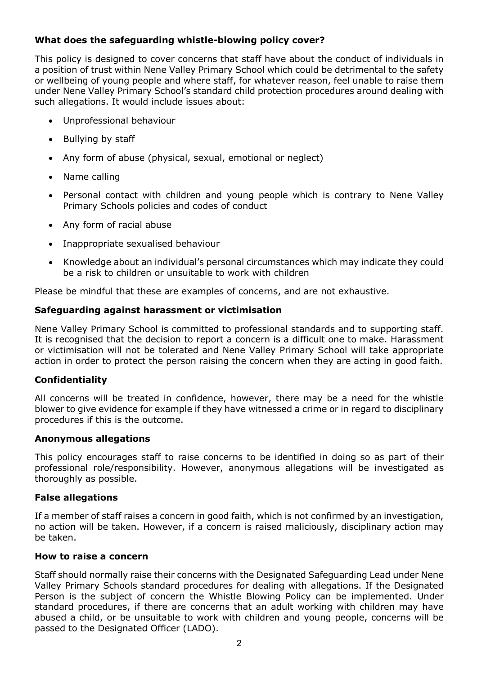## **What does the safeguarding whistle-blowing policy cover?**

This policy is designed to cover concerns that staff have about the conduct of individuals in a position of trust within Nene Valley Primary School which could be detrimental to the safety or wellbeing of young people and where staff, for whatever reason, feel unable to raise them under Nene Valley Primary School's standard child protection procedures around dealing with such allegations. It would include issues about:

- Unprofessional behaviour
- Bullying by staff
- Any form of abuse (physical, sexual, emotional or neglect)
- Name calling
- Personal contact with children and young people which is contrary to Nene Valley Primary Schools policies and codes of conduct
- Any form of racial abuse
- Inappropriate sexualised behaviour
- Knowledge about an individual's personal circumstances which may indicate they could be a risk to children or unsuitable to work with children

Please be mindful that these are examples of concerns, and are not exhaustive.

#### **Safeguarding against harassment or victimisation**

Nene Valley Primary School is committed to professional standards and to supporting staff. It is recognised that the decision to report a concern is a difficult one to make. Harassment or victimisation will not be tolerated and Nene Valley Primary School will take appropriate action in order to protect the person raising the concern when they are acting in good faith.

#### **Confidentiality**

All concerns will be treated in confidence, however, there may be a need for the whistle blower to give evidence for example if they have witnessed a crime or in regard to disciplinary procedures if this is the outcome.

#### **Anonymous allegations**

This policy encourages staff to raise concerns to be identified in doing so as part of their professional role/responsibility. However, anonymous allegations will be investigated as thoroughly as possible.

#### **False allegations**

If a member of staff raises a concern in good faith, which is not confirmed by an investigation, no action will be taken. However, if a concern is raised maliciously, disciplinary action may be taken.

#### **How to raise a concern**

Staff should normally raise their concerns with the Designated Safeguarding Lead under Nene Valley Primary Schools standard procedures for dealing with allegations. If the Designated Person is the subject of concern the Whistle Blowing Policy can be implemented. Under standard procedures, if there are concerns that an adult working with children may have abused a child, or be unsuitable to work with children and young people, concerns will be passed to the Designated Officer (LADO).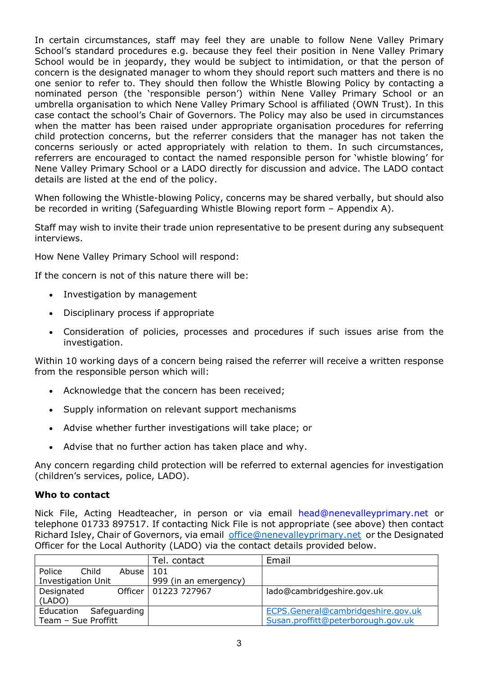In certain circumstances, staff may feel they are unable to follow Nene Valley Primary School's standard procedures e.g. because they feel their position in Nene Valley Primary School would be in jeopardy, they would be subject to intimidation, or that the person of concern is the designated manager to whom they should report such matters and there is no one senior to refer to. They should then follow the Whistle Blowing Policy by contacting a nominated person (the 'responsible person') within Nene Valley Primary School or an umbrella organisation to which Nene Valley Primary School is affiliated (OWN Trust). In this case contact the school's Chair of Governors. The Policy may also be used in circumstances when the matter has been raised under appropriate organisation procedures for referring child protection concerns, but the referrer considers that the manager has not taken the concerns seriously or acted appropriately with relation to them. In such circumstances, referrers are encouraged to contact the named responsible person for 'whistle blowing' for Nene Valley Primary School or a LADO directly for discussion and advice. The LADO contact details are listed at the end of the policy.

When following the Whistle-blowing Policy, concerns may be shared verbally, but should also be recorded in writing (Safeguarding Whistle Blowing report form – Appendix A).

Staff may wish to invite their trade union representative to be present during any subsequent interviews.

How Nene Valley Primary School will respond:

If the concern is not of this nature there will be:

- Investigation by management
- Disciplinary process if appropriate
- Consideration of policies, processes and procedures if such issues arise from the investigation.

Within 10 working days of a concern being raised the referrer will receive a written response from the responsible person which will:

- Acknowledge that the concern has been received;
- Supply information on relevant support mechanisms
- Advise whether further investigations will take place; or
- Advise that no further action has taken place and why.

Any concern regarding child protection will be referred to external agencies for investigation (children's services, police, LADO).

#### **Who to contact**

Nick File, Acting Headteacher, in person or via email head@nenevalleyprimary.net or telephone 01733 897517. If contacting Nick File is not appropriate (see above) then contact Richard Isley, Chair of Governors, via email office@nenevalleyprimary.net or the Designated Officer for the Local Authority (LADO) via the contact details provided below.

|                           |       | Tel. contact           | Email                              |
|---------------------------|-------|------------------------|------------------------------------|
| Police<br>Child           | Abuse | 101                    |                                    |
| <b>Investigation Unit</b> |       | 999 (in an emergency)  |                                    |
| Designated                |       | Officer   01223 727967 | lado@cambridgeshire.gov.uk         |
| (LADO)                    |       |                        |                                    |
| Safeguarding<br>Education |       |                        | ECPS.General@cambridgeshire.gov.uk |
| Team - Sue Proffitt       |       |                        | Susan.proffitt@peterborough.gov.uk |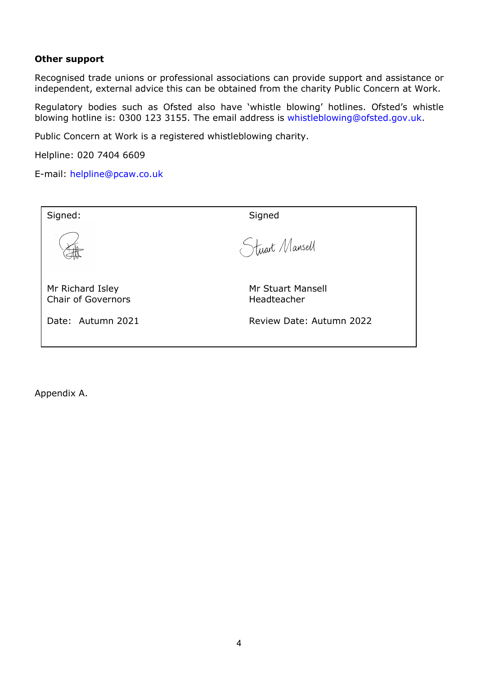#### **Other support**

Recognised trade unions or professional associations can provide support and assistance or independent, external advice this can be obtained from the charity Public Concern at Work.

Regulatory bodies such as Ofsted also have 'whistle blowing' hotlines. Ofsted's whistle blowing hotline is: 0300 123 3155. The email address is whistleblowing@ofsted.gov.uk.

Public Concern at Work is a registered whistleblowing charity.

Helpline: 020 7404 6609

E-mail: helpline@pcaw.co.uk

| Signed:                                       | Signed                           |
|-----------------------------------------------|----------------------------------|
|                                               | Stuart Mansell                   |
| Mr Richard Isley<br><b>Chair of Governors</b> | Mr Stuart Mansell<br>Headteacher |
| Date: Autumn 2021                             | Review Date: Autumn 2022         |

Appendix A.